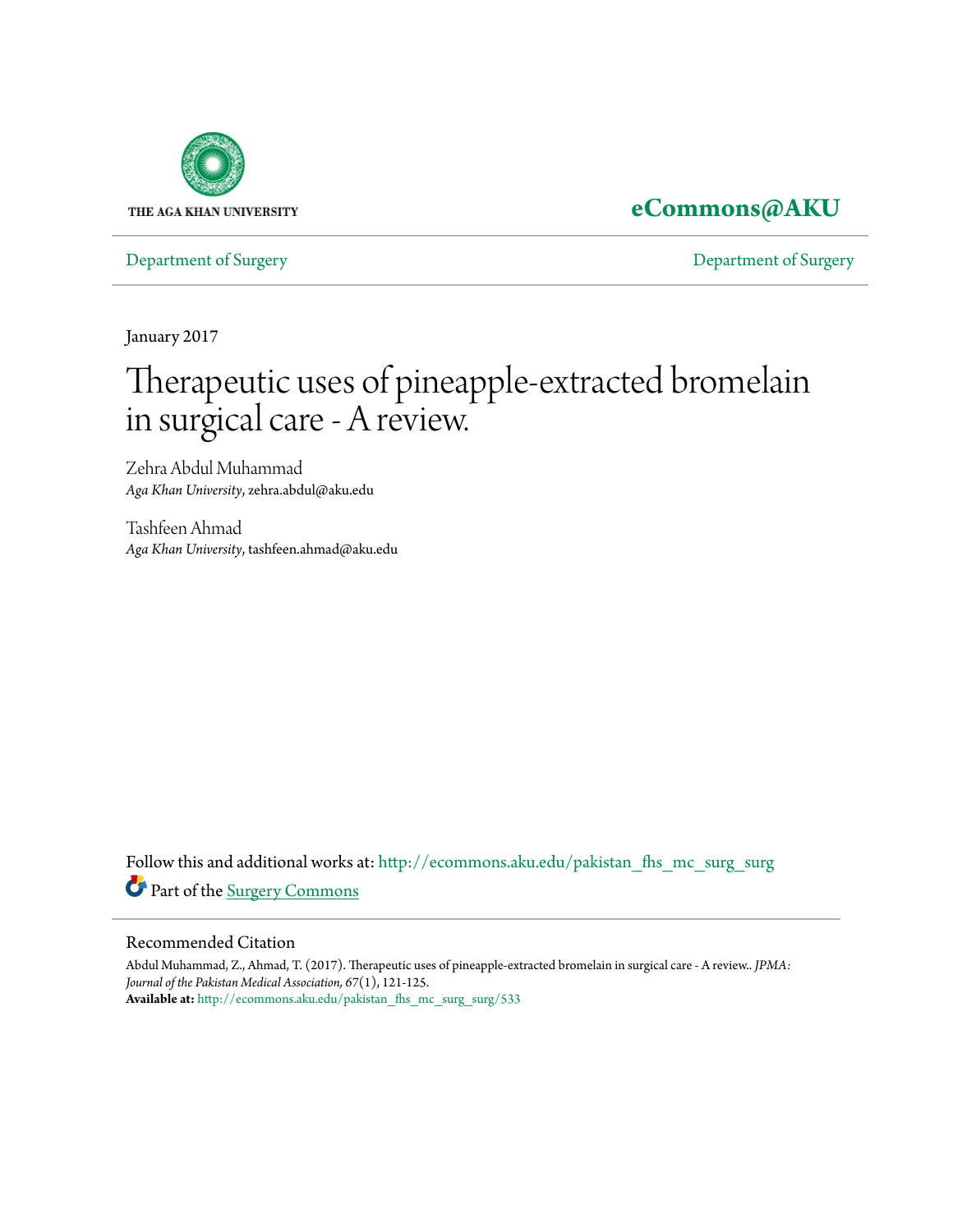

# **[eCommons@AKU](http://ecommons.aku.edu?utm_source=ecommons.aku.edu%2Fpakistan_fhs_mc_surg_surg%2F533&utm_medium=PDF&utm_campaign=PDFCoverPages)**

[Department of Surgery](http://ecommons.aku.edu/pakistan_fhs_mc_surg_surg?utm_source=ecommons.aku.edu%2Fpakistan_fhs_mc_surg_surg%2F533&utm_medium=PDF&utm_campaign=PDFCoverPages) [Department of Surgery](http://ecommons.aku.edu/pakistan_fhs_mc_surg?utm_source=ecommons.aku.edu%2Fpakistan_fhs_mc_surg_surg%2F533&utm_medium=PDF&utm_campaign=PDFCoverPages)

January 2017

# Therapeutic uses of pineapple-extracted bromelain in surgical care - A review.

Zehra Abdul Muhammad *Aga Khan University*, zehra.abdul@aku.edu

Tashfeen Ahmad *Aga Khan University*, tashfeen.ahmad@aku.edu

Follow this and additional works at: [http://ecommons.aku.edu/pakistan\\_fhs\\_mc\\_surg\\_surg](http://ecommons.aku.edu/pakistan_fhs_mc_surg_surg?utm_source=ecommons.aku.edu%2Fpakistan_fhs_mc_surg_surg%2F533&utm_medium=PDF&utm_campaign=PDFCoverPages) Part of the [Surgery Commons](http://network.bepress.com/hgg/discipline/706?utm_source=ecommons.aku.edu%2Fpakistan_fhs_mc_surg_surg%2F533&utm_medium=PDF&utm_campaign=PDFCoverPages)

#### Recommended Citation

Abdul Muhammad, Z., Ahmad, T. (2017). Therapeutic uses of pineapple-extracted bromelain in surgical care - A review.. *JPMA: Journal of the Pakistan Medical Association, 67*(1), 121-125. **Available at:** [http://ecommons.aku.edu/pakistan\\_fhs\\_mc\\_surg\\_surg/533](http://ecommons.aku.edu/pakistan_fhs_mc_surg_surg/533)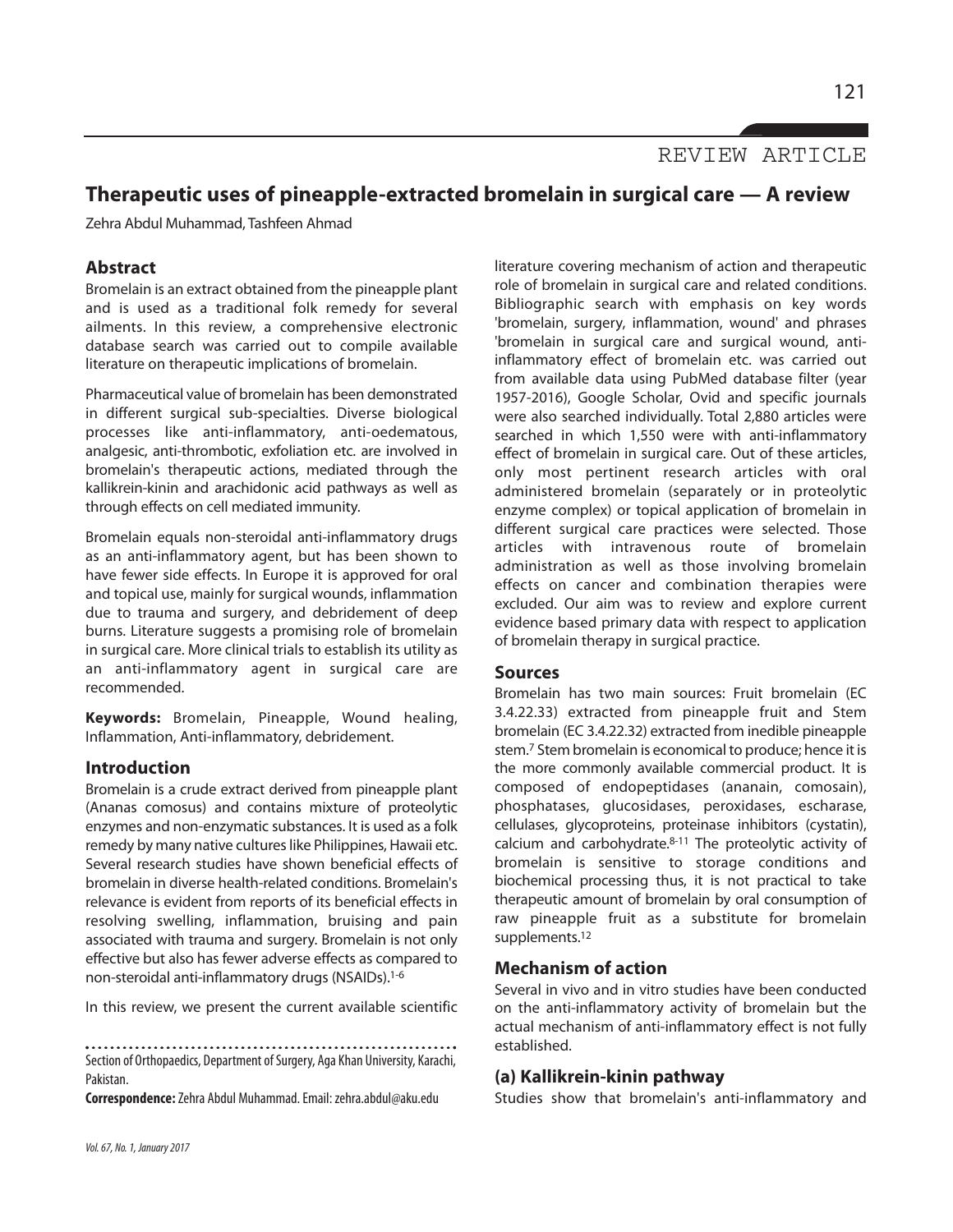REVIEW ARTICLE

## **Therapeutic uses of pineapple-extracted bromelain in surgical care — A review**

Zehra Abdul Muhammad, Tashfeen Ahmad

#### **Abstract**

Bromelain is an extract obtained from the pineapple plant and is used as a traditional folk remedy for several ailments. In this review, a comprehensive electronic database search was carried out to compile available literature on therapeutic implications of bromelain.

Pharmaceutical value of bromelain has been demonstrated in different surgical sub-specialties. Diverse biological processes like anti-inflammatory, anti-oedematous, analgesic, anti-thrombotic, exfoliation etc. are involved in bromelain's therapeutic actions, mediated through the kallikrein-kinin and arachidonic acid pathways as well as through effects on cell mediated immunity.

Bromelain equals non-steroidal anti-inflammatory drugs as an anti-inflammatory agent, but has been shown to have fewer side effects. In Europe it is approved for oral and topical use, mainly for surgical wounds, inflammation due to trauma and surgery, and debridement of deep burns. Literature suggests a promising role of bromelain in surgical care. More clinical trials to establish its utility as an anti-inflammatory agent in surgical care are recommended.

**Keywords:** Bromelain, Pineapple, Wound healing, Inflammation, Anti-inflammatory, debridement.

#### **Introduction**

Bromelain is a crude extract derived from pineapple plant (Ananas comosus) and contains mixture of proteolytic enzymes and non-enzymatic substances. It is used as a folk remedy by many native cultures like Philippines, Hawaii etc. Several research studies have shown beneficial effects of bromelain in diverse health-related conditions. Bromelain's relevance is evident from reports of its beneficial effects in resolving swelling, inflammation, bruising and pain associated with trauma and surgery. Bromelain is not only effective but also has fewer adverse effects as compared to non-steroidal anti-inflammatory drugs (NSAIDs). 1-6

In this review, we present the current available scientific

Section of Orthopaedics, Department of Surgery, Aga Khan University, Karachi, Pakistan.

**Correspondence:**Zehra Abdul Muhammad.Email: zehra.abdul@aku.edu

literature covering mechanism of action and therapeutic role of bromelain in surgical care and related conditions. Bibliographic search with emphasis on key words 'bromelain, surgery, inflammation, wound' and phrases 'bromelain in surgical care and surgical wound, antiinflammatory effect of bromelain etc. was carried out from available data using PubMed database filter (year 1957-2016), Google Scholar, Ovid and specific journals were also searched individually. Total 2,880 articles were searched in which 1,550 were with anti-inflammatory effect of bromelain in surgical care. Out of these articles, only most pertinent research articles with oral administered bromelain (separately or in proteolytic enzyme complex) or topical application of bromelain in different surgical care practices were selected. Those articles with intravenous route of bromelain administration as well as those involving bromelain effects on cancer and combination therapies were excluded. Our aim was to review and explore current evidence based primary data with respect to application of bromelain therapy in surgical practice.

#### **Sources**

Bromelain has two main sources: Fruit bromelain (EC 3.4.22.33) extracted from pineapple fruit and Stem bromelain (EC 3.4.22.32) extracted from inedible pineapple stem.<sup>7</sup> Stem bromelain is economical to produce; hence it is the more commonly available commercial product. It is composed of endopeptidases (ananain, comosain), phosphatases, glucosidases, peroxidases, escharase, cellulases, glycoproteins, proteinase inhibitors (cystatin), calcium and carbohydrate. 8-11 The proteolytic activity of bromelain is sensitive to storage conditions and biochemical processing thus, it is not practical to take therapeutic amount of bromelain by oral consumption of raw pineapple fruit as a substitute for bromelain supplements. 12

#### **Mechanism of action**

Several in vivo and in vitro studies have been conducted on the anti-inflammatory activity of bromelain but the actual mechanism of anti-inflammatory effect is not fully established.

#### **(a) Kallikrein-kinin pathway**

Studies show that bromelain's anti-inflammatory and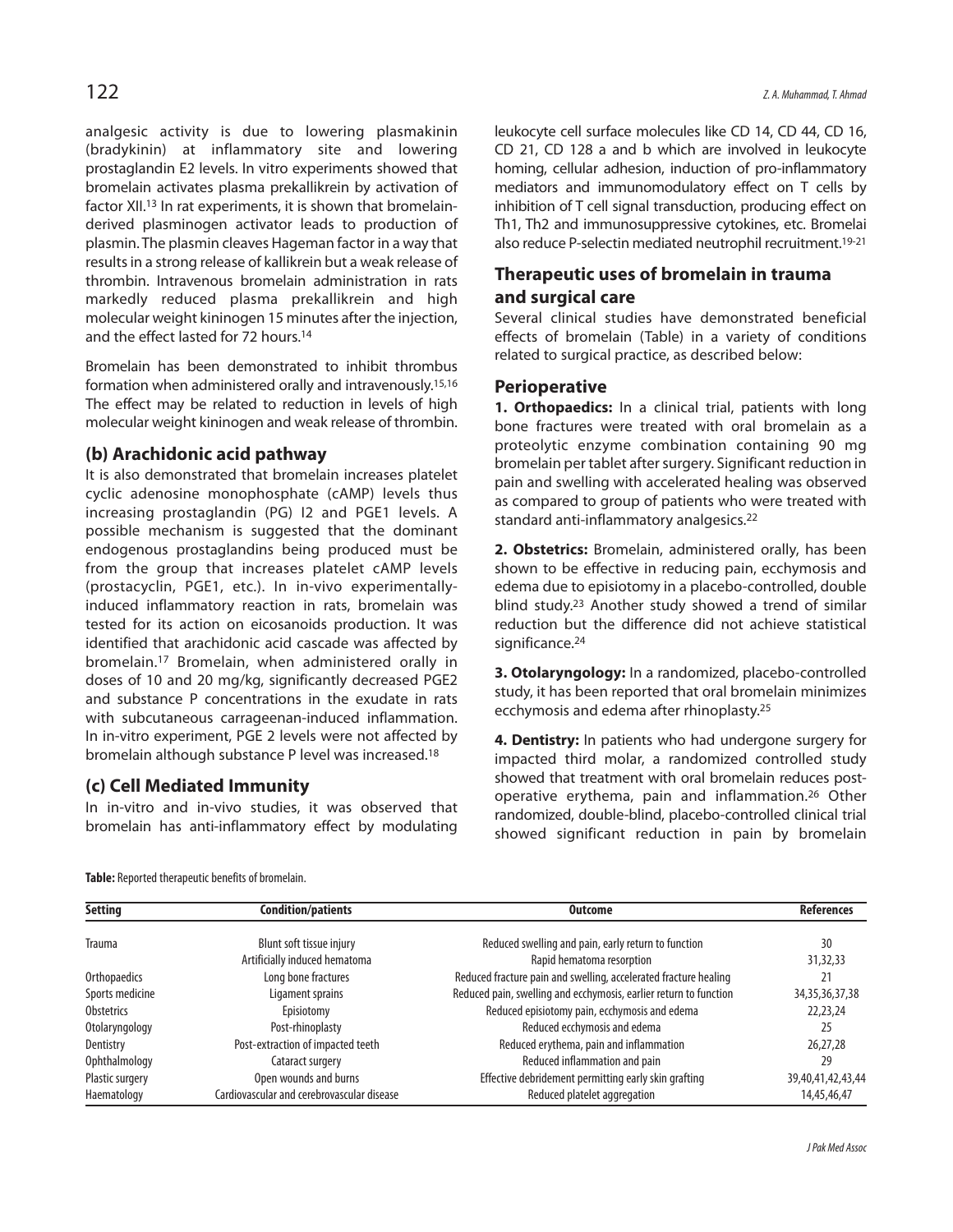analgesic activity is due to lowering plasmakinin (bradykinin) at inflammatory site and lowering prostaglandin E2 levels. In vitro experiments showed that bromelain activates plasma prekallikrein by activation of factor XII. <sup>13</sup> In rat experiments, it is shown that bromelainderived plasminogen activator leads to production of plasmin. The plasmin cleaves Hageman factor in a way that results in a strong release of kallikrein but a weak release of thrombin. Intravenous bromelain administration in rats markedly reduced plasma prekallikrein and high molecular weight kininogen 15 minutes after the injection, and the effect lasted for 72 hours. 14

Bromelain has been demonstrated to inhibit thrombus formation when administered orally and intravenously. 15,16 The effect may be related to reduction in levels of high molecular weight kininogen and weak release of thrombin.

#### **(b) Arachidonic acid pathway**

It is also demonstrated that bromelain increases platelet cyclic adenosine monophosphate (cAMP) levels thus increasing prostaglandin (PG) I2 and PGE1 levels. A possible mechanism is suggested that the dominant endogenous prostaglandins being produced must be from the group that increases platelet cAMP levels (prostacyclin, PGE1, etc.). In in-vivo experimentallyinduced inflammatory reaction in rats, bromelain was tested for its action on eicosanoids production. It was identified that arachidonic acid cascade was affected by bromelain. <sup>17</sup> Bromelain, when administered orally in doses of 10 and 20 mg/kg, significantly decreased PGE2 and substance P concentrations in the exudate in rats with subcutaneous carrageenan-induced inflammation. In in-vitro experiment, PGE 2 levels were not affected by bromelain although substance P level was increased. 18

#### **(c) Cell Mediated Immunity**

In in-vitro and in-vivo studies, it was observed that bromelain has anti-inflammatory effect by modulating leukocyte cell surface molecules like CD 14, CD 44, CD 16, CD 21, CD 128 a and b which are involved in leukocyte homing, cellular adhesion, induction of pro-inflammatory mediators and immunomodulatory effect on T cells by inhibition of T cell signal transduction, producing effect on Th1, Th2 and immunosuppressive cytokines, etc. Bromelai also reduce P-selectin mediated neutrophil recruitment. 19-21

### **Therapeutic uses of bromelain in trauma and surgical care**

Several clinical studies have demonstrated beneficial effects of bromelain (Table) in a variety of conditions related to surgical practice, as described below:

#### **Perioperative**

**1. Orthopaedics:** In a clinical trial, patients with long bone fractures were treated with oral bromelain as a proteolytic enzyme combination containing 90 mg bromelain per tablet after surgery. Significant reduction in pain and swelling with accelerated healing was observed as compared to group of patients who were treated with standard anti-inflammatory analgesics.<sup>22</sup>

**2. Obstetrics:** Bromelain, administered orally, has been shown to be effective in reducing pain, ecchymosis and edema due to episiotomy in a placebo-controlled, double blind study. <sup>23</sup> Another study showed a trend of similar reduction but the difference did not achieve statistical significance. 24

**3. Otolaryngology:** In a randomized, placebo-controlled study, it has been reported that oral bromelain minimizes ecchymosis and edema after rhinoplasty. 25

**4. Dentistry:** In patients who had undergone surgery for impacted third molar, a randomized controlled study showed that treatment with oral bromelain reduces postoperative erythema, pain and inflammation. <sup>26</sup> Other randomized, double-blind, placebo-controlled clinical trial showed significant reduction in pain by bromelain

| <b>Setting</b>  | <b>Condition/patients</b>                  | Outcome                                                           | <b>References</b>  |
|-----------------|--------------------------------------------|-------------------------------------------------------------------|--------------------|
|                 |                                            |                                                                   |                    |
| Trauma          | Blunt soft tissue injury                   | Reduced swelling and pain, early return to function               | 30                 |
|                 | Artificially induced hematoma              | Rapid hematoma resorption                                         | 31,32,33           |
| Orthopaedics    | Long bone fractures                        | Reduced fracture pain and swelling, accelerated fracture healing  |                    |
| Sports medicine | Ligament sprains                           | Reduced pain, swelling and ecchymosis, earlier return to function | 34, 35, 36, 37, 38 |
| Obstetrics      | Episiotomy                                 | Reduced episiotomy pain, ecchymosis and edema                     | 22,23,24           |
| Otolaryngology  | Post-rhinoplasty                           | Reduced ecchymosis and edema                                      | 25                 |
| Dentistry       | Post-extraction of impacted teeth          | Reduced erythema, pain and inflammation                           | 26,27,28           |
| Ophthalmology   | Cataract surgery                           | Reduced inflammation and pain                                     | 29                 |
| Plastic surgery | Open wounds and burns                      | Effective debridement permitting early skin grafting              | 39,40,41,42,43,44  |
| Haematology     | Cardiovascular and cerebrovascular disease | Reduced platelet aggregation                                      | 14,45,46,47        |

Table: Reported therapeutic benefits of bromelain.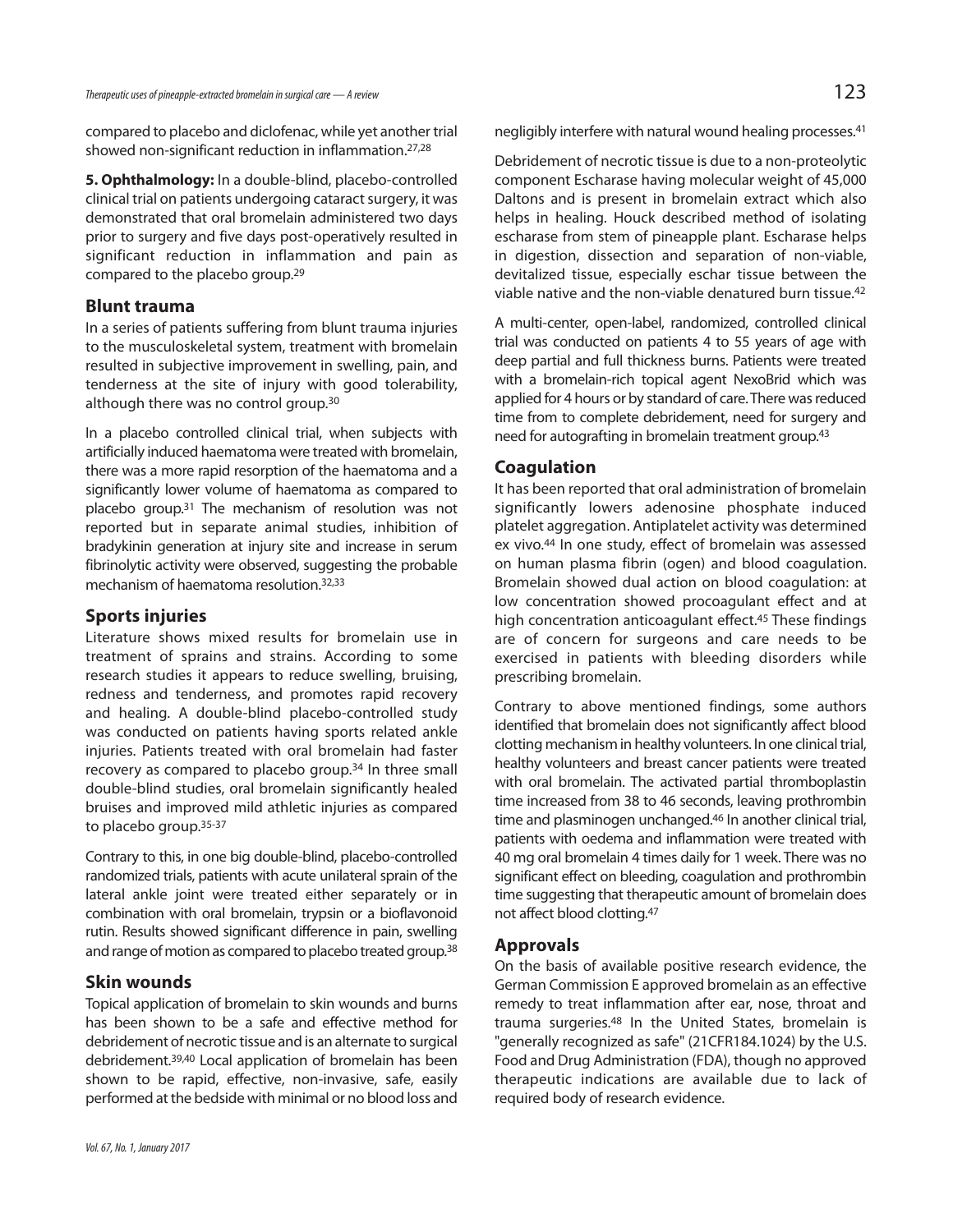compared to placebo and diclofenac, while yet another trial showed non-significant reduction in inflammation. 27,28

**5. Ophthalmology:** In a double-blind, placebo-controlled clinical trial on patients undergoing cataract surgery, it was demonstrated that oral bromelain administered two days prior to surgery and five days post-operatively resulted in significant reduction in inflammation and pain as compared to the placebo group. 29

#### **Blunt trauma**

In a series of patients suffering from blunt trauma injuries to the musculoskeletal system, treatment with bromelain resulted in subjective improvement in swelling, pain, and tenderness at the site of injury with good tolerability, although there was no control group.<sup>30</sup>

In a placebo controlled clinical trial, when subjects with artificially induced haematoma were treated with bromelain, there was a more rapid resorption of the haematoma and a significantly lower volume of haematoma as compared to placebo group. <sup>31</sup> The mechanism of resolution was not reported but in separate animal studies, inhibition of bradykinin generation at injury site and increase in serum fibrinolytic activity were observed, suggesting the probable mechanism of haematoma resolution. 32,33

#### **Sports injuries**

Literature shows mixed results for bromelain use in treatment of sprains and strains. According to some research studies it appears to reduce swelling, bruising, redness and tenderness, and promotes rapid recovery and healing. A double-blind placebo-controlled study was conducted on patients having sports related ankle injuries. Patients treated with oral bromelain had faster recovery as compared to placebo group. <sup>34</sup> In three small double-blind studies, oral bromelain significantly healed bruises and improved mild athletic injuries as compared to placebo group. 35-37

Contrary to this, in one big double-blind, placebo-controlled randomized trials, patients with acute unilateral sprain of the lateral ankle joint were treated either separately or in combination with oral bromelain, trypsin or a bioflavonoid rutin. Results showed significant difference in pain, swelling and range of motion as compared to placebo treated group.<sup>38</sup>

#### **Skin wounds**

Topical application of bromelain to skin wounds and burns has been shown to be a safe and effective method for debridement of necrotic tissue and is an alternate to surgical debridement. 39,40 Local application of bromelain has been shown to be rapid, effective, non-invasive, safe, easily performed at the bedside with minimal or no blood loss and

negligibly interfere with natural wound healing processes. 41

Debridement of necrotic tissue is due to a non-proteolytic component Escharase having molecular weight of 45,000 Daltons and is present in bromelain extract which also helps in healing. Houck described method of isolating escharase from stem of pineapple plant. Escharase helps in digestion, dissection and separation of non-viable, devitalized tissue, especially eschar tissue between the viable native and the non-viable denatured burn tissue. 42

A multi-center, open-label, randomized, controlled clinical trial was conducted on patients 4 to 55 years of age with deep partial and full thickness burns. Patients were treated with a bromelain-rich topical agent NexoBrid which was applied for 4 hours or by standard of care. There was reduced time from to complete debridement, need for surgery and need for autografting in bromelain treatment group. 43

#### **Coagulation**

It has been reported that oral administration of bromelain significantly lowers adenosine phosphate induced platelet aggregation. Antiplatelet activity was determined ex vivo. <sup>44</sup> In one study, effect of bromelain was assessed on human plasma fibrin (ogen) and blood coagulation. Bromelain showed dual action on blood coagulation: at low concentration showed procoagulant effect and at high concentration anticoagulant effect. <sup>45</sup> These findings are of concern for surgeons and care needs to be exercised in patients with bleeding disorders while prescribing bromelain.

Contrary to above mentioned findings, some authors identified that bromelain does not significantly affect blood clotting mechanism in healthy volunteers. In one clinical trial, healthy volunteers and breast cancer patients were treated with oral bromelain. The activated partial thromboplastin time increased from 38 to 46 seconds, leaving prothrombin time and plasminogen unchanged. <sup>46</sup> In another clinical trial, patients with oedema and inflammation were treated with 40 mg oral bromelain 4 times daily for 1 week. There was no significant effect on bleeding, coagulation and prothrombin time suggesting that therapeutic amount of bromelain does not affect blood clotting. 47

#### **Approvals**

On the basis of available positive research evidence, the German Commission E approved bromelain as an effective remedy to treat inflammation after ear, nose, throat and trauma surgeries. <sup>48</sup> In the United States, bromelain is "generally recognized as safe" (21CFR184.1024) by the U.S. Food and Drug Administration (FDA), though no approved therapeutic indications are available due to lack of required body of research evidence.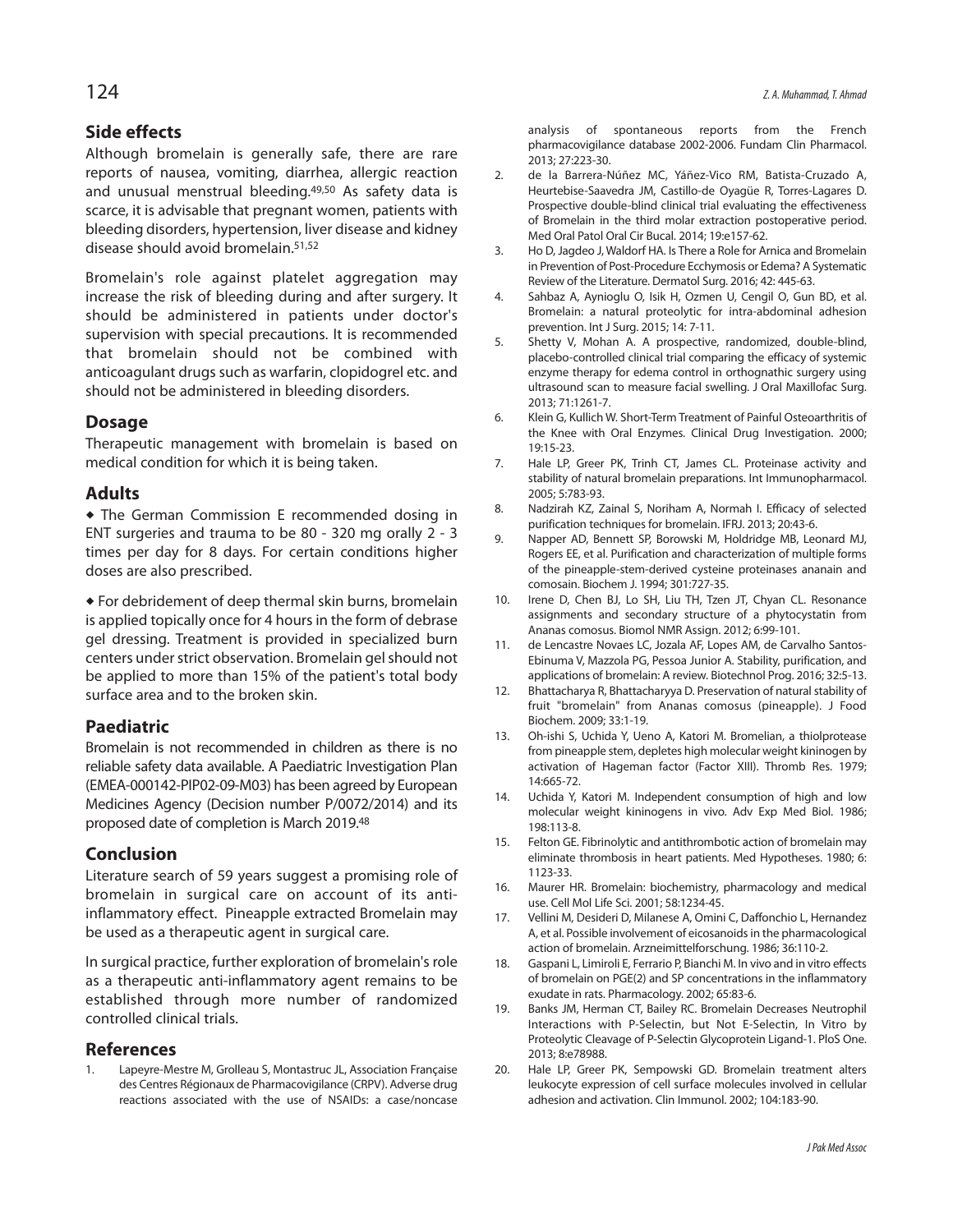#### **Side effects**

Although bromelain is generally safe, there are rare reports of nausea, vomiting, diarrhea, allergic reaction and unusual menstrual bleeding. 49,50 As safety data is scarce, it is advisable that pregnant women, patients with bleeding disorders, hypertension, liver disease and kidney disease should avoid bromelain. 51,52

Bromelain's role against platelet aggregation may increase the risk of bleeding during and after surgery. It should be administered in patients under doctor's supervision with special precautions. It is recommended that bromelain should not be combined with anticoagulant drugs such as warfarin, clopidogrel etc. and should not be administered in bleeding disorders.

#### **Dosage**

Therapeutic management with bromelain is based on medical condition for which it is being taken.

#### **Adults**

 The German Commission E recommended dosing in ENT surgeries and trauma to be 80 - 320 mg orally 2 - 3 times per day for 8 days. For certain conditions higher doses are also prescribed.

 For debridement of deep thermal skin burns, bromelain is applied topically once for 4 hours in the form of debrase gel dressing. Treatment is provided in specialized burn centers under strict observation. Bromelain gel should not be applied to more than 15% of the patient's total body surface area and to the broken skin.

#### **Paediatric**

Bromelain is not recommended in children as there is no reliable safety data available. A Paediatric Investigation Plan (EMEA-000142-PIP02-09-M03) has been agreed by European Medicines Agency (Decision number P/0072/2014) and its proposed date of completion is March 2019. 48

#### **Conclusion**

Literature search of 59 years suggest a promising role of bromelain in surgical care on account of its antiinflammatory effect. Pineapple extracted Bromelain may be used as a therapeutic agent in surgical care.

In surgical practice, further exploration of bromelain's role as a therapeutic anti-inflammatory agent remains to be established through more number of randomized controlled clinical trials.

#### **References**

1. Lapeyre-Mestre M, Grolleau S, Montastruc JL, Association Française des Centres Régionaux de Pharmacovigilance (CRPV). Adverse drug reactions associated with the use of NSAIDs: a case/noncase

analysis of spontaneous reports from the French pharmacovigilance database 2002-2006. Fundam Clin Pharmacol. 2013; 27:223-30.

- 2. de la Barrera-Núñez MC, Yáñez-Vico RM, Batista-Cruzado A, Heurtebise-Saavedra JM, Castillo-de Oyagüe R, Torres-Lagares D. Prospective double-blind clinical trial evaluating the effectiveness of Bromelain in the third molar extraction postoperative period. Med Oral Patol Oral Cir Bucal. 2014; 19:e157-62.
- 3. Ho D, Jagdeo J, Waldorf HA. Is There a Role for Arnica and Bromelain in Prevention of Post-Procedure Ecchymosis or Edema? A Systematic Review of the Literature. Dermatol Surg. 2016; 42: 445-63.
- 4. Sahbaz A, Aynioglu O, Isik H, Ozmen U, Cengil O, Gun BD, et al. Bromelain: a natural proteolytic for intra-abdominal adhesion prevention. Int J Surg. 2015; 14: 7-11.
- 5. Shetty V, Mohan A. A prospective, randomized, double-blind, placebo-controlled clinical trial comparing the efficacy of systemic enzyme therapy for edema control in orthognathic surgery using ultrasound scan to measure facial swelling. J Oral Maxillofac Surg. 2013; 71:1261-7.
- 6. Klein G, Kullich W. Short-Term Treatment of Painful Osteoarthritis of the Knee with Oral Enzymes. Clinical Drug Investigation. 2000; 19:15-23.
- 7. Hale LP, Greer PK, Trinh CT, James CL. Proteinase activity and stability of natural bromelain preparations. Int Immunopharmacol. 2005; 5:783-93.
- 8. Nadzirah KZ, Zainal S, Noriham A, Normah I. Efficacy of selected purification techniques for bromelain. IFRJ. 2013; 20:43-6.
- 9. Napper AD, Bennett SP, Borowski M, Holdridge MB, Leonard MJ, Rogers EE, et al. Purification and characterization of multiple forms of the pineapple-stem-derived cysteine proteinases ananain and comosain. Biochem J. 1994; 301:727-35.
- 10. Irene D, Chen BJ, Lo SH, Liu TH, Tzen JT, Chyan CL. Resonance assignments and secondary structure of a phytocystatin from Ananas comosus. Biomol NMR Assign. 2012; 6:99-101.
- 11. de Lencastre Novaes LC, Jozala AF, Lopes AM, de Carvalho Santos-Ebinuma V, Mazzola PG, Pessoa Junior A. Stability, purification, and applications of bromelain: A review. Biotechnol Prog. 2016; 32:5-13.
- 12. Bhattacharya R, Bhattacharyya D. Preservation of natural stability of fruit "bromelain" from Ananas comosus (pineapple). J Food Biochem. 2009; 33:1-19.
- 13. Oh-ishi S, Uchida Y, Ueno A, Katori M. Bromelian, a thiolprotease from pineapple stem, depletes high molecular weight kininogen by activation of Hageman factor (Factor XIII). Thromb Res. 1979; 14:665-72.
- 14. Uchida Y, Katori M. Independent consumption of high and low molecular weight kininogens in vivo. Adv Exp Med Biol. 1986; 198:113-8.
- 15. Felton GE. Fibrinolytic and antithrombotic action of bromelain may eliminate thrombosis in heart patients. Med Hypotheses. 1980; 6: 1123-33.
- 16. Maurer HR. Bromelain: biochemistry, pharmacology and medical use. Cell Mol Life Sci. 2001; 58:1234-45.
- 17. Vellini M, Desideri D, Milanese A, Omini C, Daffonchio L, Hernandez A, et al. Possible involvement of eicosanoids in the pharmacological action of bromelain. Arzneimittelforschung. 1986; 36:110-2.
- 18. Gaspani L, Limiroli E, Ferrario P, Bianchi M. In vivo and in vitro effects of bromelain on PGE(2) and SP concentrations in the inflammatory exudate in rats. Pharmacology. 2002; 65:83-6.
- 19. Banks JM, Herman CT, Bailey RC. Bromelain Decreases Neutrophil Interactions with P-Selectin, but Not E-Selectin, In Vitro by Proteolytic Cleavage of P-Selectin Glycoprotein Ligand-1. PloS One. 2013; 8:e78988.
- 20. Hale LP, Greer PK, Sempowski GD. Bromelain treatment alters leukocyte expression of cell surface molecules involved in cellular adhesion and activation. Clin Immunol. 2002; 104:183-90.